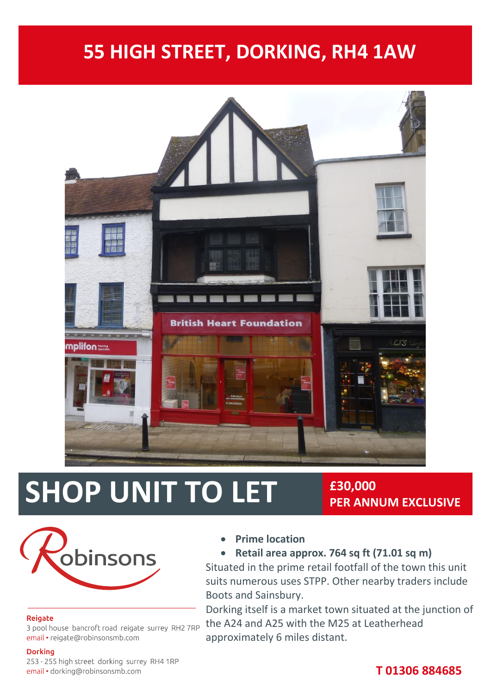# **55 HIGH STREET, DORKING, RH4 1AW**



# **SHOP UNIT TO LET**  $\frac{230,000}{\text{PER ANN}}$

# **PER ANNUM EXCLUSIVE**



#### Reigate

3 pool house bancroft road reigate surrey RH2 7RP email • reigate@robinsonsmb.com

#### **Dorking**

253 - 255 high street dorking surrey RH4 1RP email · dorking@robinsonsmb.com

**Prime location**

#### **Retail area approx. 764 sq ft (71.01 sq m)**

Situated in the prime retail footfall of the town this unit suits numerous uses STPP. Other nearby traders include Boots and Sainsbury.

Dorking itself is a market town situated at the junction of the A24 and A25 with the M25 at Leatherhead approximately 6 miles distant.

# **T 01306 884685**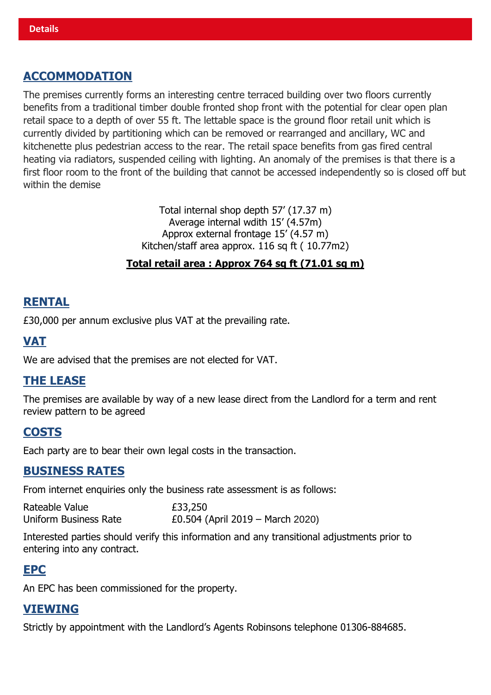# **ACCOMMODATION**

The premises currently forms an interesting centre terraced building over two floors currently benefits from a traditional timber double fronted shop front with the potential for clear open plan retail space to a depth of over 55 ft. The lettable space is the ground floor retail unit which is currently divided by partitioning which can be removed or rearranged and ancillary, WC and kitchenette plus pedestrian access to the rear. The retail space benefits from gas fired central heating via radiators, suspended ceiling with lighting. An anomaly of the premises is that there is a first floor room to the front of the building that cannot be accessed independently so is closed off but within the demise

> Total internal shop depth 57' (17.37 m) Average internal wdith 15' (4.57m) Approx external frontage 15' (4.57 m) Kitchen/staff area approx. 116 sq ft ( 10.77m2)

#### **Total retail area : Approx 764 sq ft (71.01 sq m)**

#### **RENTAL**

£30,000 per annum exclusive plus VAT at the prevailing rate.

### **VAT**

We are advised that the premises are not elected for VAT.

### **THE LEASE**

The premises are available by way of a new lease direct from the Landlord for a term and rent review pattern to be agreed

#### **COSTS**

Each party are to bear their own legal costs in the transaction.

#### **BUSINESS RATES**

From internet enquiries only the business rate assessment is as follows:

| Rateable Value        | £33,250                          |
|-----------------------|----------------------------------|
| Uniform Business Rate | £0.504 (April 2019 – March 2020) |

Interested parties should verify this information and any transitional adjustments prior to entering into any contract.

#### **EPC**

An EPC has been commissioned for the property.

#### **VIEWING**

Strictly by appointment with the Landlord's Agents Robinsons telephone 01306-884685.